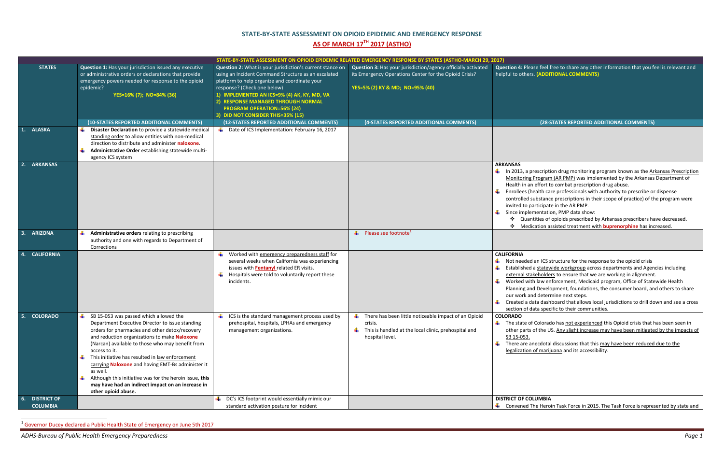$\overline{\phantom{a}}$ 

ase feel free to share any other information that you feel is relevant and **helphane (ADDITIONAL COMMENTS)** 

|                             |                                                                                                                                                                                                                                                                                                                                                                                                                                                                                                                                             | STATE-BY-STATE ASSESSMENT ON OPIOID EPIDEMIC RELATED EMERGENCY RESPONSE BY STATES (ASTHO-MARCH 29, 2017)                                                                                                                                                                                                                                                        |                                                                                                                                                            |                                                                                                                                                                |
|-----------------------------|---------------------------------------------------------------------------------------------------------------------------------------------------------------------------------------------------------------------------------------------------------------------------------------------------------------------------------------------------------------------------------------------------------------------------------------------------------------------------------------------------------------------------------------------|-----------------------------------------------------------------------------------------------------------------------------------------------------------------------------------------------------------------------------------------------------------------------------------------------------------------------------------------------------------------|------------------------------------------------------------------------------------------------------------------------------------------------------------|----------------------------------------------------------------------------------------------------------------------------------------------------------------|
| <b>STATES</b>               | Question 1: Has your jurisdiction issued any executive<br>or administrative orders or declarations that provide<br>emergency powers needed for response to the opioid<br>epidemic?<br>YES=16% (7); NO=84% (36)                                                                                                                                                                                                                                                                                                                              | Question 2: What is your jurisdiction's current stance on<br>using an Incident Command Structure as an escalated<br>platform to help organize and coordinate your<br>response? (Check one below)<br>1) IMPLEMENTED AN ICS=9% (4) AK, KY, MD, VA<br>2) RESPONSE MANAGED THROUGH NORMAL<br><b>PROGRAM OPERATION=56% (24)</b><br>3) DID NOT CONSIDER THIS=35% (15) | Question 3: Has your jurisdiction/agency officially activated<br>its Emergency Operations Center for the Opioid Crisis?<br>YES=5% (2) KY & MD; NO=95% (40) | <b>Question 4: Ple</b><br>helpful to other                                                                                                                     |
|                             | (10-STATES REPORTED ADDITIONAL COMMENTS)                                                                                                                                                                                                                                                                                                                                                                                                                                                                                                    | (12-STATES REPORTED ADDITIONAL COMMENTS)                                                                                                                                                                                                                                                                                                                        | (4-STATES REPORTED ADDITIONAL COMMENTS)                                                                                                                    |                                                                                                                                                                |
| 1. ALASKA                   | 4<br>Disaster Declaration to provide a statewide medical<br>standing order to allow entities with non-medical<br>direction to distribute and administer naloxone.<br>Administrative Order establishing statewide multi-<br>agency ICS system                                                                                                                                                                                                                                                                                                | Date of ICS Implementation: February 16, 2017                                                                                                                                                                                                                                                                                                                   |                                                                                                                                                            |                                                                                                                                                                |
| 2. ARKANSAS                 |                                                                                                                                                                                                                                                                                                                                                                                                                                                                                                                                             |                                                                                                                                                                                                                                                                                                                                                                 |                                                                                                                                                            | <b>ARKANSAS</b><br>$\downarrow$ In 2013, a p<br>Monitoring<br>Health in a<br>Enrollees (I<br>controlled :<br>invited to p<br>Since imple<br>❖<br>Quar<br>❖ Med |
| <b>ARIZONA</b><br>3.        | Administrative orders relating to prescribing<br>÷<br>authority and one with regards to Department of<br>Corrections                                                                                                                                                                                                                                                                                                                                                                                                                        |                                                                                                                                                                                                                                                                                                                                                                 | Please see footnote <sup>1</sup><br>۰.                                                                                                                     |                                                                                                                                                                |
| <b>CALIFORNIA</b>           |                                                                                                                                                                                                                                                                                                                                                                                                                                                                                                                                             | Worked with emergency preparedness staff for<br>several weeks when California was experiencing<br>issues with <b>Fentanyl</b> related ER visits.<br>Hospitals were told to voluntarily report these<br>incidents.                                                                                                                                               |                                                                                                                                                            | <b>CALIFORNIA</b><br>Not needed<br>Established<br>external sta<br>۰.<br>Worked wi<br>Planning ar<br>our work a<br>Created a c<br>section of o                  |
| 5. COLORADO                 | ۰.<br>SB 15-053 was passed which allowed the<br>Department Executive Director to issue standing<br>orders for pharmacies and other detox/recovery<br>and reduction organizations to make Naloxone<br>(Narcan) available to those who may benefit from<br>access to it.<br>₩<br>This initiative has resulted in law enforcement<br>carrying Naloxone and having EMT-Bs administer it<br>as well.<br>4<br>Although this initiative was for the heroin issue, this<br>may have had an indirect impact on an increase in<br>other opioid abuse. | ICS is the standard management process used by<br>prehospital, hospitals, LPHAs and emergency<br>management organizations.                                                                                                                                                                                                                                      | There has been little noticeable impact of an Opioid<br>۰.<br>crisis.<br>This is handled at the local clinic, prehospital and<br>hospital level.           | <b>COLORADO</b><br>The state o<br>other parts<br>SB 15-053.<br>₩.<br>There are a<br>legalization                                                               |
| <b>DISTRICT OF</b><br>$6 -$ |                                                                                                                                                                                                                                                                                                                                                                                                                                                                                                                                             | DC's ICS footprint would essentially mimic our                                                                                                                                                                                                                                                                                                                  |                                                                                                                                                            | <b>DISTRICT OF CC</b>                                                                                                                                          |
| <b>COLUMBIA</b>             |                                                                                                                                                                                                                                                                                                                                                                                                                                                                                                                                             | standard activation posture for incident                                                                                                                                                                                                                                                                                                                        |                                                                                                                                                            | ← Convened 1                                                                                                                                                   |

<sup>&</sup>lt;sup>1</sup> Governor Ducey declared a Public Health State of Emergency on June 5th 2017

## **STATE-BY-STATE ASSESSMENT ON OPIOID EPIDEMIC AND EMERGENCY RESPONSE AS OF MARCH 17TH 2017 (ASTHO)**

## **(10-STATES REPORTED ADDITIONAL COMMENTS) (12-STATES REPORTED ADDITIONAL COMMENTS) (4-STATES REPORTED ADDITIONAL COMMENTS) (28-STATES REPORTED ADDITIONAL COMMENTS)**

- prescription drug monitoring program known as the Arkansas Prescription I Program (AR PMP) was implemented by the Arkansas Department of In effort to combat prescription drug abuse.
- health care professionals with authority to prescribe or dispense
- substance prescriptions in their scope of practice) of the program were participate in the AR PMP.
- ementation, PMP data show:
- ntities of opioids prescribed by Arkansas prescribers have decreased.
- lication assisted treatment with **buprenorphine** has increased.

d an ICS structure for the response to the opioid crisis

- I a statewide workgroup across departments and Agencies including akeholders to ensure that we are working in alignment.
- ith law enforcement, Medicaid program, Office of Statewide Health nd Development, foundations, the consumer board, and others to share nd determine next steps.
- data dashboard that allows local jurisdictions to drill down and see a cross data specific to their communities.

of Colorado has not experienced this Opioid crisis that has been seen in of the US. Any slight increase may have been mitigated by the impacts of

anecdotal discussions that this may have been reduced due to the **of marijuana** and its accessibility.

## **DLUMBIA**

The Heroin Task Force in 2015. The Task Force is represented by state and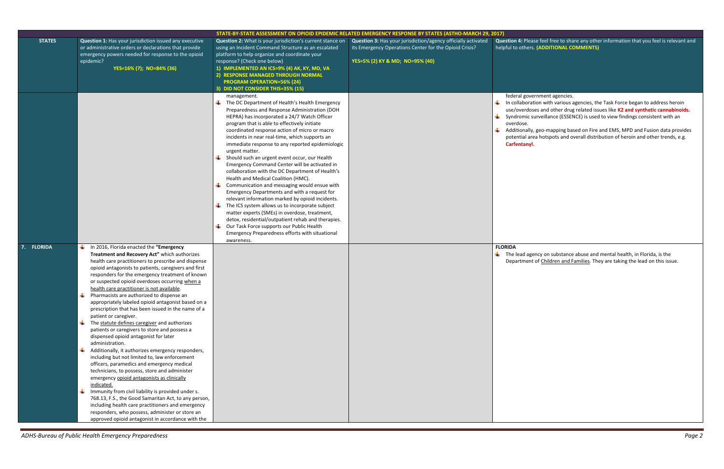ase feel free to share any other information that you feel is relevant and **helphane (ADDITIONAL COMMENTS)** 

ernment agencies.

Ition with various agencies, the Task Force began to address heroin ses and other drug related issues like **K2 and synthetic cannabinoids.** surveillance (ESSENCE) is used to view findings consistent with an

, geo-mapping based on Fire and EMS, MPD and Fusion data provides  $\overline{p}$  hotspots and overall distribution of heroin and other trends, e.g. **Carfentanyl.**

ency on substance abuse and mental health, in Florida, is the t of Children and Families. They are taking the lead on this issue.

|               |                                                                                                                                                                                                                                                                                                                                                                                                                                                                                                                                                                                                                                                                                                                                                                                                                                                                                                                                                                                                                                                                                                                                                                                                                                                                                      | STATE-BY-STATE ASSESSMENT ON OPIOID EPIDEMIC RELATED EMERGENCY RESPONSE BY STATES (ASTHO-MARCH 29, 2017)                                                                                                                                                                                                                                                                                                                                                                                                                                                                                                                                                                                                                                      |                                                                                                                                                            |                                                                                                                                               |
|---------------|--------------------------------------------------------------------------------------------------------------------------------------------------------------------------------------------------------------------------------------------------------------------------------------------------------------------------------------------------------------------------------------------------------------------------------------------------------------------------------------------------------------------------------------------------------------------------------------------------------------------------------------------------------------------------------------------------------------------------------------------------------------------------------------------------------------------------------------------------------------------------------------------------------------------------------------------------------------------------------------------------------------------------------------------------------------------------------------------------------------------------------------------------------------------------------------------------------------------------------------------------------------------------------------|-----------------------------------------------------------------------------------------------------------------------------------------------------------------------------------------------------------------------------------------------------------------------------------------------------------------------------------------------------------------------------------------------------------------------------------------------------------------------------------------------------------------------------------------------------------------------------------------------------------------------------------------------------------------------------------------------------------------------------------------------|------------------------------------------------------------------------------------------------------------------------------------------------------------|-----------------------------------------------------------------------------------------------------------------------------------------------|
| <b>STATES</b> | <b>Question 1: Has your jurisdiction issued any executive</b><br>or administrative orders or declarations that provide<br>emergency powers needed for response to the opioid<br>epidemic?<br>YES=16% (7); NO=84% (36)                                                                                                                                                                                                                                                                                                                                                                                                                                                                                                                                                                                                                                                                                                                                                                                                                                                                                                                                                                                                                                                                | Question 2: What is your jurisdiction's current stance on<br>using an Incident Command Structure as an escalated<br>platform to help organize and coordinate your<br>response? (Check one below)<br>1) IMPLEMENTED AN ICS=9% (4) AK, KY, MD, VA<br>2) RESPONSE MANAGED THROUGH NORMAL<br><b>PROGRAM OPERATION=56% (24)</b><br><b>DID NOT CONSIDER THIS=35% (15)</b><br>management.<br>The DC Department of Health's Health Emergency<br>Preparedness and Response Administration (DOH<br>HEPRA) has incorporated a 24/7 Watch Officer<br>program that is able to effectively initiate<br>coordinated response action of micro or macro                                                                                                        | Question 3: Has your jurisdiction/agency officially activated<br>its Emergency Operations Center for the Opioid Crisis?<br>YES=5% (2) KY & MD; NO=95% (40) | <b>Question 4: Plea</b><br>helpful to others<br>federal gove<br>₩.<br>In collabora<br>use/overdos<br>Syndromic s<br>overdose.<br>Additionally |
|               |                                                                                                                                                                                                                                                                                                                                                                                                                                                                                                                                                                                                                                                                                                                                                                                                                                                                                                                                                                                                                                                                                                                                                                                                                                                                                      | incidents in near real-time, which supports an<br>immediate response to any reported epidemiologic<br>urgent matter.<br>Should such an urgent event occur, our Health<br>Emergency Command Center will be activated in<br>collaboration with the DC Department of Health's<br>Health and Medical Coalition (HMC).<br>Communication and messaging would ensue with<br>Emergency Departments and with a request for<br>relevant information marked by opioid incidents.<br>The ICS system allows us to incorporate subject<br>matter experts (SMEs) in overdose, treatment,<br>detox, residential/outpatient rehab and therapies.<br>Our Task Force supports our Public Health<br>Emergency Preparedness efforts with situational<br>awareness. |                                                                                                                                                            | potential are<br>Carfentanyl                                                                                                                  |
| 7. FLORIDA    | In 2016, Florida enacted the "Emergency<br>Treatment and Recovery Act" which authorizes<br>health care practitioners to prescribe and dispense<br>opioid antagonists to patients, caregivers and first<br>responders for the emergency treatment of known<br>or suspected opioid overdoses occurring when a<br>health care practitioner is not available.<br>Pharmacists are authorized to dispense an<br>appropriately labeled opioid antagonist based on a<br>prescription that has been issued in the name of a<br>patient or caregiver.<br>$\frac{1}{\sqrt{1}}$ The statute defines caregiver and authorizes<br>patients or caregivers to store and possess a<br>dispensed opioid antagonist for later<br>administration.<br>Additionally, it authorizes emergency responders,<br>₩<br>including but not limited to, law enforcement<br>officers, paramedics and emergency medical<br>technicians, to possess, store and administer<br>emergency opioid antagonists as clinically<br>indicated.<br>Immunity from civil liability is provided under s.<br>₩.<br>768.13, F.S., the Good Samaritan Act, to any person,<br>including health care practitioners and emergency<br>responders, who possess, administer or store an<br>approved opioid antagonist in accordance with the |                                                                                                                                                                                                                                                                                                                                                                                                                                                                                                                                                                                                                                                                                                                                               |                                                                                                                                                            | <b>FLORIDA</b><br>₩.<br>The lead age<br>Department                                                                                            |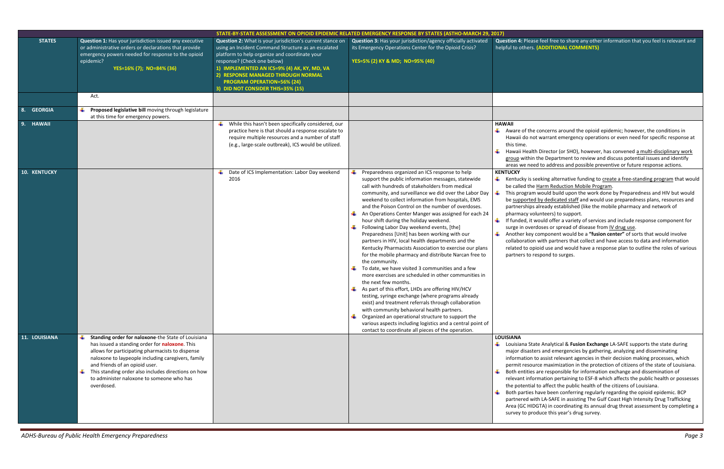## se feel free to share any other information that you feel is relevant and **(ADDITIONAL COMMENTS)**

e concerns around the opioid epidemic; however, the conditions in ot warrant emergency operations or even need for specific response at

th Director (or SHO), however, has convened a multi-disciplinary work n the Department to review and discuss potential issues and identify ed to address and possible preventive or future response actions.

seeking alternative funding to create a free-standing program that would e Harm Reduction Mobile Program.

m would build upon the work done by Preparedness and HIV but would ed by dedicated staff and would use preparedness plans, resources and s already established (like the mobile pharmacy and network of pharmacy volunteers) to support.

If would offer a variety of services and include response component for erdoses or spread of disease from IV drug use.

ther component would be a "fusion center" of sorts that would involve on with partners that collect and have access to data and information pioid use and would have a response plan to outline the roles of various respond to surges.

tate Analytical & Fusion Exchange LA-SAFE supports the state during ters and emergencies by gathering, analyzing and disseminating ito assist relevant agencies in their decision making processes, which urce maximization in the protection of citizens of the state of Louisiana. s are responsible for information exchange and dissemination of ormation pertaining to ESF-8 which affects the public health or possesses al to affect the public health of the citizens of Louisiana.

If have been conferring regularly regarding the opioid epidemic. BCP vith LA-SAFE in assisting The Gulf Coast High Intensity Drug Trafficking DGTA) in coordinating its annual drug threat assessment by completing a roduce this year's drug survey.

| STATE-BY-STATE ASSESSMENT ON OPIOID EPIDEMIC RELATED EMERGENCY RESPONSE BY STATES (ASTHO-MARCH 29, 2017) |                                                                                                                                                                                                                                                                                                                                                                                |                                                                                                                                                                                                                                                                                                                                                                 |                                                                                                                                                                                                                                                                                                                                                                                                                                                                                                                                                                                                                                                                                                                                                                                                                                                                                                                                                                                                                                                                                                                                                                                                                                                     |                                                                                                                                                                                                                             |
|----------------------------------------------------------------------------------------------------------|--------------------------------------------------------------------------------------------------------------------------------------------------------------------------------------------------------------------------------------------------------------------------------------------------------------------------------------------------------------------------------|-----------------------------------------------------------------------------------------------------------------------------------------------------------------------------------------------------------------------------------------------------------------------------------------------------------------------------------------------------------------|-----------------------------------------------------------------------------------------------------------------------------------------------------------------------------------------------------------------------------------------------------------------------------------------------------------------------------------------------------------------------------------------------------------------------------------------------------------------------------------------------------------------------------------------------------------------------------------------------------------------------------------------------------------------------------------------------------------------------------------------------------------------------------------------------------------------------------------------------------------------------------------------------------------------------------------------------------------------------------------------------------------------------------------------------------------------------------------------------------------------------------------------------------------------------------------------------------------------------------------------------------|-----------------------------------------------------------------------------------------------------------------------------------------------------------------------------------------------------------------------------|
| <b>STATES</b>                                                                                            | Question 1: Has your jurisdiction issued any executive<br>or administrative orders or declarations that provide<br>emergency powers needed for response to the opioid<br>epidemic?<br>YES=16% (7); NO=84% (36)<br>Act.                                                                                                                                                         | Question 2: What is your jurisdiction's current stance on<br>using an Incident Command Structure as an escalated<br>platform to help organize and coordinate your<br>response? (Check one below)<br>1) IMPLEMENTED AN ICS=9% (4) AK, KY, MD, VA<br>2) RESPONSE MANAGED THROUGH NORMAL<br><b>PROGRAM OPERATION=56% (24)</b><br>3) DID NOT CONSIDER THIS=35% (15) | Question 3: Has your jurisdiction/agency officially activated<br>its Emergency Operations Center for the Opioid Crisis?<br>YES=5% (2) KY & MD; NO=95% (40)                                                                                                                                                                                                                                                                                                                                                                                                                                                                                                                                                                                                                                                                                                                                                                                                                                                                                                                                                                                                                                                                                          | <b>Question 4: Plea</b><br>helpful to others                                                                                                                                                                                |
|                                                                                                          |                                                                                                                                                                                                                                                                                                                                                                                |                                                                                                                                                                                                                                                                                                                                                                 |                                                                                                                                                                                                                                                                                                                                                                                                                                                                                                                                                                                                                                                                                                                                                                                                                                                                                                                                                                                                                                                                                                                                                                                                                                                     |                                                                                                                                                                                                                             |
| 8. GEORGIA                                                                                               | Proposed legislative bill moving through legislature<br>at this time for emergency powers.                                                                                                                                                                                                                                                                                     |                                                                                                                                                                                                                                                                                                                                                                 |                                                                                                                                                                                                                                                                                                                                                                                                                                                                                                                                                                                                                                                                                                                                                                                                                                                                                                                                                                                                                                                                                                                                                                                                                                                     |                                                                                                                                                                                                                             |
| 9. HAWAII                                                                                                |                                                                                                                                                                                                                                                                                                                                                                                | While this hasn't been specifically considered, our<br>practice here is that should a response escalate to<br>require multiple resources and a number of staff<br>(e.g., large-scale outbreak), ICS would be utilized.                                                                                                                                          |                                                                                                                                                                                                                                                                                                                                                                                                                                                                                                                                                                                                                                                                                                                                                                                                                                                                                                                                                                                                                                                                                                                                                                                                                                                     | <b>HAWAII</b><br>₩<br>Aware of the<br>Hawaii do no<br>this time.<br>¥<br>Hawaii Healt<br>group withir<br>areas we ne                                                                                                        |
| 10. KENTUCKY                                                                                             |                                                                                                                                                                                                                                                                                                                                                                                | Date of ICS Implementation: Labor Day weekend<br>2016                                                                                                                                                                                                                                                                                                           | Preparedness organized an ICS response to help<br>support the public information messages, statewide<br>call with hundreds of stakeholders from medical<br>community, and surveillance we did over the Labor Day<br>weekend to collect information from hospitals, EMS<br>and the Poison Control on the number of overdoses.<br>An Operations Center Manger was assigned for each 24<br>hour shift during the holiday weekend.<br>Following Labor Day weekend events, [the]<br>Preparedness [Unit] has been working with our<br>partners in HIV, local health departments and the<br>Kentucky Pharmacists Association to exercise our plans<br>for the mobile pharmacy and distribute Narcan free to<br>the community.<br>To date, we have visited 3 communities and a few<br>more exercises are scheduled in other communities in<br>the next few months.<br>As part of this effort, LHDs are offering HIV/HCV<br>testing, syringe exchange (where programs already<br>exist) and treatment referrals through collaboration<br>with community behavioral health partners.<br>Organized an operational structure to support the<br>various aspects including logistics and a central point of<br>contact to coordinate all pieces of the operation. | <b>KENTUCKY</b><br>Kentucky is :<br>be called the<br>4<br>This progran<br>be supporte<br>partnerships<br>pharmacy vo<br>4<br>If funded, it<br>surge in ove<br>Another key<br>collaboratio<br>related to op<br>partners to i |
| 11. LOUISIANA                                                                                            | Standing order for naloxone-the State of Louisiana<br>₩.<br>has issued a standing order for naloxone. This<br>allows for participating pharmacists to dispense<br>naloxone to laypeople including caregivers, family<br>and friends of an opioid user.<br>₩.<br>This standing order also includes directions on how<br>to administer naloxone to someone who has<br>overdosed. |                                                                                                                                                                                                                                                                                                                                                                 |                                                                                                                                                                                                                                                                                                                                                                                                                                                                                                                                                                                                                                                                                                                                                                                                                                                                                                                                                                                                                                                                                                                                                                                                                                                     | <b>LOUISIANA</b><br>Louisiana Sta<br>major disast<br>information<br>permit resou<br>Both entities<br>relevant info<br>the potentia<br><b>Both parties</b><br>partnered w<br>Area (GC HII<br>survey to pr                    |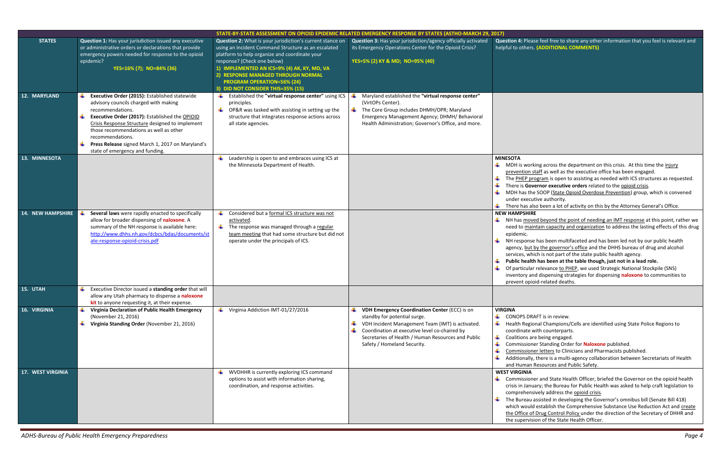ise feel free to share any other information that you feel is relevant and **helphane (ADDITIONAL COMMENTS)** 

rking across the department on this crisis. At this time the injury  $\frac{1}{2}$  staff as well as the executive office has been engaged.

program is open to assisting as needed with ICS structures as requested. **vernor executive orders** related to the opioid crisis.

he SOOP (State Opioid Overdose Prevention) group, which is convened cutive authority.

also been a lot of activity on this by the Attorney General's Office. **RE** 

ved beyond the point of needing an IMT response at this point, rather we intain capacity and organization to address the lasting effects of this drug

se has been multifaceted and has been led not by our public health t by the governor's office and the DHHS bureau of drug and alcohol hich is not part of the state public health agency.

Ith has been at the table though, just not in a lead role. ar relevance to PHEP, we used Strategic National Stockpile (SNS) and dispensing strategies for dispensing **naloxone** to communities to ioid-related deaths.

RAFT is in review.

ional Champions/Cells are identified using State Police Regions to with counterparts.

are being engaged.

ner Standing Order for **Naloxone** published.

ner letters to Clinicians and Pharmacists published.

y, there is a multi-agency collaboration between Secretariats of Health Resources and Public Safety.

ner and State Health Officer, briefed the Governor on the opioid health iuary; the Bureau for Public Health was asked to help craft legislation to nsively address the opioid crisis.

I assisted in developing the Governor's omnibus bill (Senate Bill 418) Id establish the Comprehensive Substance Use Reduction Act and create of Drug Control Policy under the direction of the Secretary of DHHR and ision of the State Health Officer.

|                          | STATE-BY-STATE ASSESSMENT ON OPIOID EPIDEMIC RELATED EMERGENCY RESPONSE BY STATES (ASTHO-MARCH 29, 2017)                                                                                                                                                                                                                                                                  |                                                                                                                                                                                                                                                                                                                                                                 |                                                                                                                                                                                                                                                                              |                                                                                                                                                                                |  |
|--------------------------|---------------------------------------------------------------------------------------------------------------------------------------------------------------------------------------------------------------------------------------------------------------------------------------------------------------------------------------------------------------------------|-----------------------------------------------------------------------------------------------------------------------------------------------------------------------------------------------------------------------------------------------------------------------------------------------------------------------------------------------------------------|------------------------------------------------------------------------------------------------------------------------------------------------------------------------------------------------------------------------------------------------------------------------------|--------------------------------------------------------------------------------------------------------------------------------------------------------------------------------|--|
| <b>STATES</b>            | Question 1: Has your jurisdiction issued any executive<br>or administrative orders or declarations that provide<br>emergency powers needed for response to the opioid<br>epidemic?<br>YES=16% (7); NO=84% (36)                                                                                                                                                            | Question 2: What is your jurisdiction's current stance on<br>using an Incident Command Structure as an escalated<br>platform to help organize and coordinate your<br>response? (Check one below)<br>1) IMPLEMENTED AN ICS=9% (4) AK, KY, MD, VA<br>2) RESPONSE MANAGED THROUGH NORMAL<br><b>PROGRAM OPERATION=56% (24)</b><br>3) DID NOT CONSIDER THIS=35% (15) | Question 3: Has your jurisdiction/agency officially activated<br>its Emergency Operations Center for the Opioid Crisis?<br>YES=5% (2) KY & MD; NO=95% (40)                                                                                                                   | Question 4: Plea<br>helpful to other                                                                                                                                           |  |
| 12. MARYLAND             | Executive Order (2015): Established statewide<br>advisory councils charged with making<br>recommendations.<br>Executive Order (2017): Established the OPIOID<br>¥<br>Crisis Response Structure designed to implement<br>those recommendations as well as other<br>recommendations.<br>Press Release signed March 1, 2017 on Maryland's<br>state of emergency and funding. | Established the "virtual response center" using ICS<br>principles.<br>OP&R was tasked with assisting in setting up the<br>structure that integrates response actions across<br>all state agencies.                                                                                                                                                              | Maryland established the "virtual response center"<br>(VirtOPs Center).<br>The Core Group includes DHMH/OPR; Maryland<br>₩.<br>Emergency Management Agency; DHMH/ Behavioral<br>Health Administration; Governor's Office, and more.                                          |                                                                                                                                                                                |  |
| 13. MINNESOTA            |                                                                                                                                                                                                                                                                                                                                                                           | Leadership is open to and embraces using ICS at<br>the Minnesota Department of Health.                                                                                                                                                                                                                                                                          |                                                                                                                                                                                                                                                                              | <b>MINESOTA</b><br>MDH is wor<br>prevention<br>The PHEP p<br>There is Go<br>MDH has th<br>under exec<br>There has a                                                            |  |
| <b>14. NEW HAMPSHIRE</b> | Several laws were rapidly enacted to specifically<br>allow for broader dispensing of naloxone. A<br>summary of the NH response is available here:<br>http://www.dhhs.nh.gov/dcbcs/bdas/documents/st<br>ate-response-opioid-crisis.pdf                                                                                                                                     | Considered but a formal ICS structure was not<br>activated.<br>The response was managed through a regular<br>team meeting that had some structure but did not<br>operate under the principals of ICS.                                                                                                                                                           |                                                                                                                                                                                                                                                                              | <b>NEW HAMPSHIP</b><br>NH has moy<br>need to ma<br>epidemic.<br>NH respons<br>agency, but<br>services, wh<br><b>Public healt</b><br>Of particula<br>inventory a<br>prevent opi |  |
| 15. UTAH                 | Executive Director issued a standing order that will<br>- ⊥<br>allow any Utah pharmacy to dispense a naloxone<br><b>kit</b> to anyone requesting it, at their expense.                                                                                                                                                                                                    |                                                                                                                                                                                                                                                                                                                                                                 |                                                                                                                                                                                                                                                                              |                                                                                                                                                                                |  |
| 16. VIRGINIA             | Virginia Declaration of Public Health Emergency<br>(November 21, 2016)<br>₩.<br>Virginia Standing Order (November 21, 2016)                                                                                                                                                                                                                                               | Virginia Addiction IMT-01/27/2016                                                                                                                                                                                                                                                                                                                               | VDH Emergency Coordination Center (ECC) is on<br>standby for potential surge.<br>VDH Incident Management Team (IMT) is activated.<br>4<br>Coordination at executive level co-chaired by<br>Secretaries of Health / Human Resources and Public<br>Safety / Homeland Security. | <b>VIRGINA</b><br><b>CONOPS DF</b><br>*<br>₩.<br><b>Health Regi</b><br>coordinate<br>¥<br>Coalitions a<br>4<br>Commissior<br>₩<br>Commissior<br>Additionally<br>and Human      |  |
| <b>17. WEST VIRGINIA</b> |                                                                                                                                                                                                                                                                                                                                                                           | WVDHHR is currently exploring ICS command<br>options to assist with information sharing,<br>coordination, and response activities.                                                                                                                                                                                                                              |                                                                                                                                                                                                                                                                              | <b>WEST VIRGINIA</b><br>$\leftarrow$ Commission<br>crisis in Jan<br>comprehen<br>The Bureau<br>which woul<br>the Office o<br>the supervis                                      |  |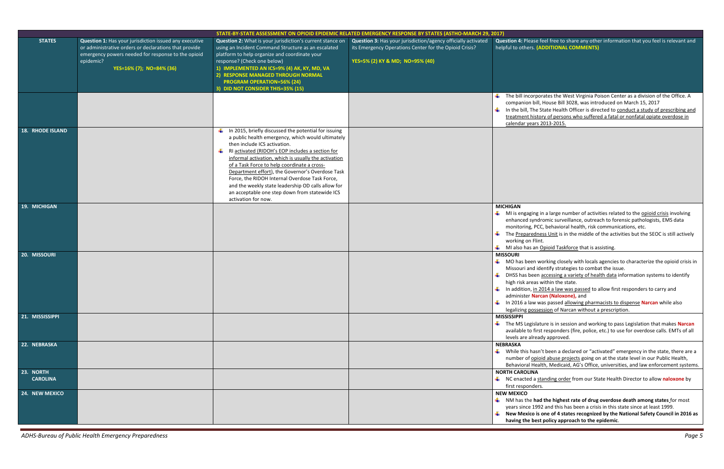*ADHS-Bureau of Public Health Emergency Preparedness Page 5*

se feel free to share any other information that you feel is relevant and **helphan (ADDITIONAL COMMENTS)** 

orporates the West Virginia Poison Center as a division of the Office. A bill, House Bill 3028, was introduced on March 15, 2017 Ine State Health Officer is directed to conduct a study of prescribing and history of persons who suffered a fatal or nonfatal opiate overdose in ars 2013-2015.

ing in a large number of activities related to the **opioid crisis involving** yndromic surveillance, outreach to forensic pathologists, EMS data PCC, behavioral health, risk communications, etc.

edness Unit is in the middle of the activities but the SEOC is still actively Flint.

an Opioid Taskforce that is assisting.

en working closely with locals agencies to characterize the opioid crisis in Id identify strategies to combat the issue.

een accessing a variety of health data information systems to identify eas within the state.

in 2014 a law was passed to allow first responders to carry and **Narcan (Naloxone),** and

w was passed allowing pharmacists to dispense **Narcan** while also **Dasalighty** of Narcan without a prescription.

islature is in session and working to pass Legislation that makes **Narcan** first responders (fire, police, etc.) to use for overdose calls. EMTs of all ready approved.

asn't been a declared or "activated" emergency in the state, there are a opioid abuse projects going on at the state level in our Public Health, Health, Medicaid, AG's Office, universities, and law enforcement systems. **N** 

a standing order from our State Health Director to allow naloxone by ders.

|                              |                                                                                                                                                                                                                |                                                                                                                                                                                                                                                                                                                                                                                                                                                                                                                                                      | STATE-BY-STATE ASSESSMENT ON OPIOID EPIDEMIC RELATED EMERGENCY RESPONSE BY STATES (ASTHO-MARCH 29, 2017)                                                   |                                                                                                                                                                                         |  |
|------------------------------|----------------------------------------------------------------------------------------------------------------------------------------------------------------------------------------------------------------|------------------------------------------------------------------------------------------------------------------------------------------------------------------------------------------------------------------------------------------------------------------------------------------------------------------------------------------------------------------------------------------------------------------------------------------------------------------------------------------------------------------------------------------------------|------------------------------------------------------------------------------------------------------------------------------------------------------------|-----------------------------------------------------------------------------------------------------------------------------------------------------------------------------------------|--|
| <b>STATES</b>                | Question 1: Has your jurisdiction issued any executive<br>or administrative orders or declarations that provide<br>emergency powers needed for response to the opioid<br>epidemic?<br>YES=16% (7); NO=84% (36) | Question 2: What is your jurisdiction's current stance on<br>using an Incident Command Structure as an escalated<br>platform to help organize and coordinate your<br>response? (Check one below)<br>1) IMPLEMENTED AN ICS=9% (4) AK, KY, MD, VA<br>2) RESPONSE MANAGED THROUGH NORMAL<br><b>PROGRAM OPERATION=56% (24)</b><br>3) DID NOT CONSIDER THIS=35% (15)                                                                                                                                                                                      | Question 3: Has your jurisdiction/agency officially activated<br>its Emergency Operations Center for the Opioid Crisis?<br>YES=5% (2) KY & MD; NO=95% (40) | <b>Question 4: Plea</b><br>helpful to others                                                                                                                                            |  |
|                              |                                                                                                                                                                                                                |                                                                                                                                                                                                                                                                                                                                                                                                                                                                                                                                                      |                                                                                                                                                            | The bill inco<br>companion<br>₩.<br>In the bill, T<br>treatment h<br>calendar yea                                                                                                       |  |
| <b>18. RHODE ISLAND</b>      |                                                                                                                                                                                                                | In 2015, briefly discussed the potential for issuing<br>÷<br>a public health emergency, which would ultimately<br>then include ICS activation.<br>RI activated (RIDOH's EOP includes a section for<br>₩.<br>informal activation, which is usually the activation<br>of a Task Force to help coordinate a cross-<br>Department effort), the Governor's Overdose Task<br>Force, the RIDOH Internal Overdose Task Force,<br>and the weekly state leadership OD calls allow for<br>an acceptable one step down from statewide ICS<br>activation for now. |                                                                                                                                                            |                                                                                                                                                                                         |  |
| 19. MICHIGAN                 |                                                                                                                                                                                                                |                                                                                                                                                                                                                                                                                                                                                                                                                                                                                                                                                      |                                                                                                                                                            | <b>MICHIGAN</b><br>₩.<br>MI is engagi<br>enhanced sy<br>monitoring,<br>÷<br>The <u>Prepare</u><br>working on<br>$\blacksquare$ MI also has                                              |  |
| 20. MISSOURI                 |                                                                                                                                                                                                                |                                                                                                                                                                                                                                                                                                                                                                                                                                                                                                                                                      |                                                                                                                                                            | <b>MISSOURI</b><br>$\blacksquare$ MO has bee<br>Missouri and<br>۰.<br>DHSS has be<br>high risk are<br>₩.<br>In addition,<br>administer l<br>$\downarrow$ In 2016 a lay<br>legalizing po |  |
| 21. MISSISSIPPI              |                                                                                                                                                                                                                |                                                                                                                                                                                                                                                                                                                                                                                                                                                                                                                                                      |                                                                                                                                                            | <b>MISSISSIPPI</b><br>$\leftarrow$ The MS Legi<br>available to<br>levels are al                                                                                                         |  |
| 22. NEBRASKA                 |                                                                                                                                                                                                                |                                                                                                                                                                                                                                                                                                                                                                                                                                                                                                                                                      |                                                                                                                                                            | <b>NEBRASKA</b><br>$\frac{1}{2}$ While this h<br>number of c<br>Behavioral <b>H</b>                                                                                                     |  |
| 23. NORTH<br><b>CAROLINA</b> |                                                                                                                                                                                                                |                                                                                                                                                                                                                                                                                                                                                                                                                                                                                                                                                      |                                                                                                                                                            | <b>NORTH CAROLIN</b><br>$\downarrow$ NC enacted<br>first respond<br><b>NEW MEXICO</b>                                                                                                   |  |
| 24. NEW MEXICO               |                                                                                                                                                                                                                |                                                                                                                                                                                                                                                                                                                                                                                                                                                                                                                                                      |                                                                                                                                                            | $\frac{1}{2}$ NM has the<br>years since :<br>$\frac{1}{2}$ New Mexico<br>having the <b>k</b>                                                                                            |  |

had the highest rate of drug overdose death among states for most 1992 and this has been a crisis in this state since at least 1999. **n** is one of 4 states recognized by the National Safety Council in 2016 as **having the best policy approach to the epidemic**.